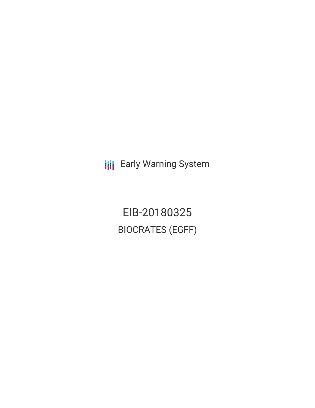**III** Early Warning System

EIB-20180325 BIOCRATES (EGFF)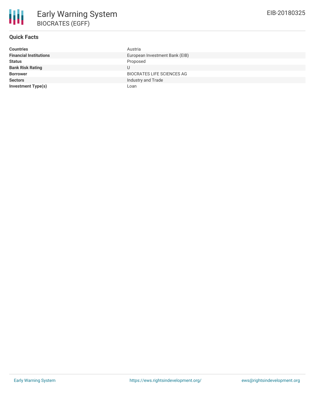# **Quick Facts**

| <b>Countries</b>              | Austria                           |
|-------------------------------|-----------------------------------|
| <b>Financial Institutions</b> | European Investment Bank (EIB)    |
| <b>Status</b>                 | Proposed                          |
| <b>Bank Risk Rating</b>       | U                                 |
| <b>Borrower</b>               | <b>BIOCRATES LIFE SCIENCES AG</b> |
| <b>Sectors</b>                | Industry and Trade                |
| Investment Type(s)            | Loan                              |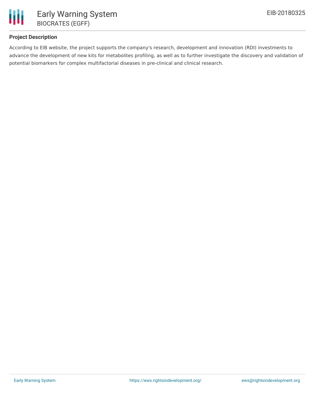

## **Project Description**

According to EIB website, the project supports the company's research, development and innovation (RDI) investments to advance the development of new kits for metabolites profiling, as well as to further investigate the discovery and validation of potential biomarkers for complex multifactorial diseases in pre-clinical and clinical research.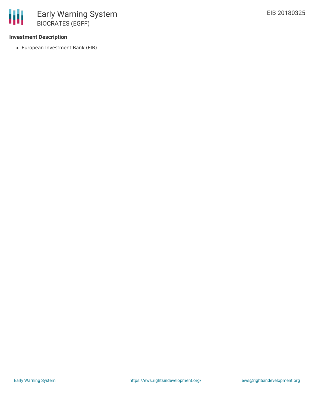## **Investment Description**

European Investment Bank (EIB)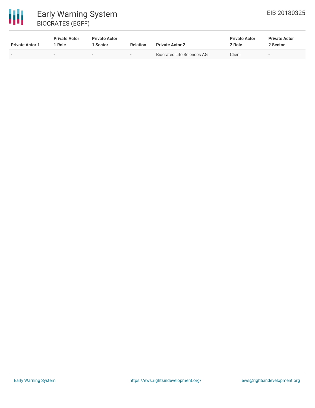# 冊 Early Warning System BIOCRATES (EGFF)

| <b>Private Actor 1</b> | <b>Private Actor</b><br>: Role | <b>Private Actor</b><br>1 Sector | <b>Relation</b>          | <b>Private Actor 2</b>     | <b>Private Actor</b><br>2 Role | <b>Private Actor</b><br>2 Sector |
|------------------------|--------------------------------|----------------------------------|--------------------------|----------------------------|--------------------------------|----------------------------------|
|                        | $\overline{\phantom{a}}$       | -                                | $\overline{\phantom{0}}$ | Biocrates Life Sciences AG | Client                         | . .                              |